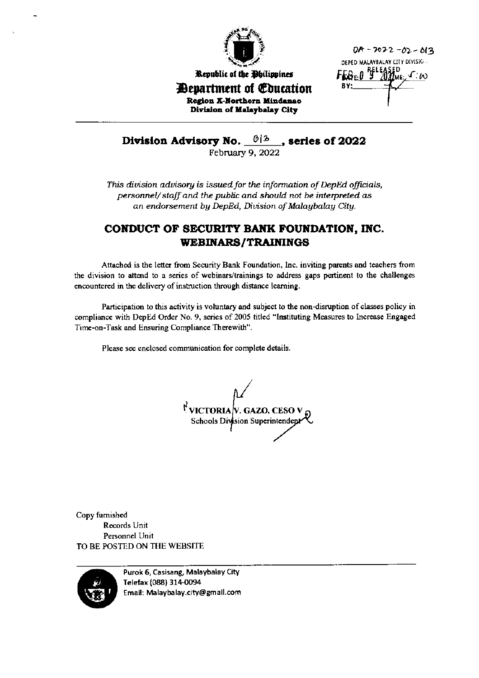

Republic of the Philippines

0A - 2022 - 02 - 013 DEPED MALAYBALAY CITY DIVISIO ..  $FEB_{E:0}$ <sup> $P_E^{E}$ 1</sup> Γ.ω

*Department of Education* Region X-Northern Mindanao Division of Malaybalay City

## **Division Advisory No.**  $\frac{\theta/3}{\theta}$ , series of 2022

This division advisory is issued for the information of DepEd officials, personnel/staff and the public and should not be interpreted as an endorsement by DepEd, Division of Malaybalay City.

## CONDUCT OF SECURITY BANK FOUNDATION, INC. **WEBINARS/TRAININGS**

Attached is the letter from Security Bank Foundation, Inc. inviting parents and teachers from the division to attend to a series of webinars/trainings to address gaps pertinent to the challenges encountered in the delivery of instruction through distance learning.

Participation to this activity is voluntary and subject to the non-disruption of classes policy in compliance with DepEd Order No. 9, series of 2005 titled "Instituting Measures to Increase Engaged Time-on-Task and Ensuring Compliance Therewith".

Please see enclosed communication for complete details.

 $\mathcal{N}$  victoria $\mathcal{N}$ . Gazo, ceso v Schools Division Superintendent

Copy furnished Records Unit Personnel Unit TO BE POSTED ON THE WEBSITE



Purok 6, Casisang, Malaybalay City Telefax (088) 314-0094 Email: Malaybalay.city@gmail.com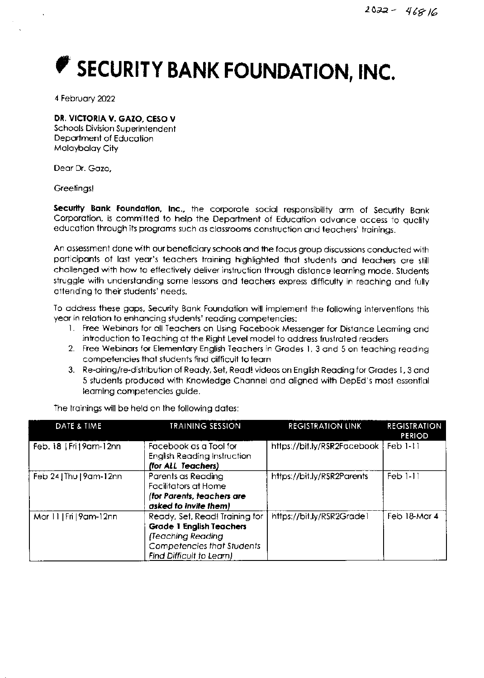## SECURITY BANK FOUNDATION, INC.

4 February 2022

## DR. VICTORIA V. GAZO, CESO V

**Schools Division Superintendent** Department of Education Malaybalay City

Dear Dr. Gazo.

Greetings!

Security Bank Foundation, Inc., the corporate social responsibility arm of Security Bank Corporation, is committed to help the Department of Education advance access to quality education through its programs such as classrooms construction and teachers' trainings.

An assessment done with our beneficiary schools and the focus group discussions conducted with participants of last year's teachers training highlighted that students and teachers are still challenged with how to effectively deliver instruction through distance learning mode. Students struggle with understanding some lessons and teachers express difficulty in reaching and fully attending to their students' needs.

To address these gaps, Security Bank Foundation will implement the following interventions this year in relation to enhancing students' reading competencies:

- 1. Free Webinars for all Teachers on Using Facebook Messenger for Distance Learning and introduction to Teaching at the Right Level model to address frustrated readers
- 2. Free Webinars for Elementary English Teachers in Grades 1, 3 and 5 on teaching reading competencies that students find difficult to learn
- 3. Re-airing/re-distribution of Ready, Set, Read! videos on English Reading for Grades 1, 3 and 5 students produced with Knowledge Channel and aligned with DepEd's most essential learning competencies guide.

| DATE & TIME              | <b>TRAINING SESSION</b>                                                                                                                          | <b>REGISTRATION LINK</b>    | <b>REGISTRATION</b><br>PERIOD |
|--------------------------|--------------------------------------------------------------------------------------------------------------------------------------------------|-----------------------------|-------------------------------|
| Feb. 18   Fri   9am-12nn | Facebook as a Tool for<br><b>English Reading Instruction</b><br>(for ALL Teachers)                                                               | https://bit.ly/RSR2Facebook | $Feb$ $1-11$                  |
| Feb 24   Thu   9am-12nn  | Parents as Reading<br><b>Facilitators at Home</b><br>(for Parents, teachers are<br>asked to invite them)                                         | https://bit.ly/RSR2Parents  | $Feb$ $1-11$                  |
| Mar 11   Fri   9am-12nn  | Ready, Set, Read! Training for<br><b>Grade 1 English Teachers</b><br>(Teaching Reading<br>Competencies that Students<br>Find Difficult to Learn) | https://bit.ly/RSR2Grade1   | Feb 18-Mar 4                  |

The trainings will be held on the following dates: